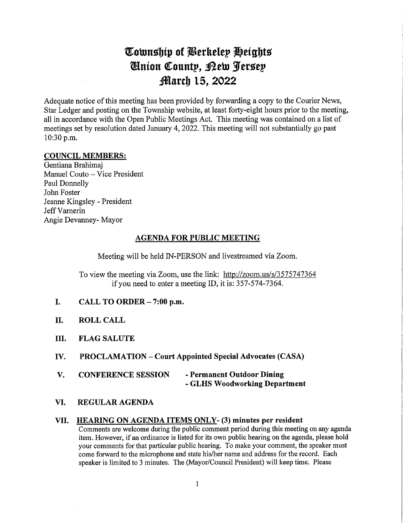# Cownship of Berkeley Heights QHmon Count?, ^eto Sferssep *March 15, 2022*

Adequate notice of this meeting has been provided by forwarding a copy to the Courier News, Star Ledger and posting on the Township website, at least forty-eight hours prior to the meeting, all in accordance with the Open Public Meetings Act. This meeting was contained on a list of meetings set by resolution dated January 4, 2022. This meeting will not substantially go past 10:30 p.m.

#### COUNCIL MEMBERS:

Gentiana Brahimaj Manuel Couto - Vice President Paul Donnelly John Foster Jeanne Kingsley - President Jeff Varnerin Angie Devanney- Mayor

#### AGENDA FOR PUBLIC MEETING

Meeting will be held IN-PERSON and livestreamed via Zoom.

To view the meeting via Zoom, use the link: http://zoom.us/s/3575747364 if you need to enter a meeting ID, it is: 357-574-7364.

- I. CALL TO ORDER  $-7:00$  p.m.
- II. ROLL CALL
- III. FLAG SALUTE
- IV. PROCLAMATION Court Appointed Special Advocates (CASA)
- V. CONFERENCE SESSION Permanent Outdoor Dining - GLHS Woodworking Department
- VI. REGULAR AGENDA

#### VII. HEAMNG ON AGENDA ITEMS ONLY- (3) minutes per resident

Comments are welcome during the public comment period during this meeting on any agenda item. However, if an ordinance is listed for its own public hearing on the agenda, please hold your comments for that particular public hearing. To make your comment, the speaker must come forward to the microphone and state his/her name and address for the record. Each speaker is limited to 3 minutes. The (Mayor/Council President) will keep time. Please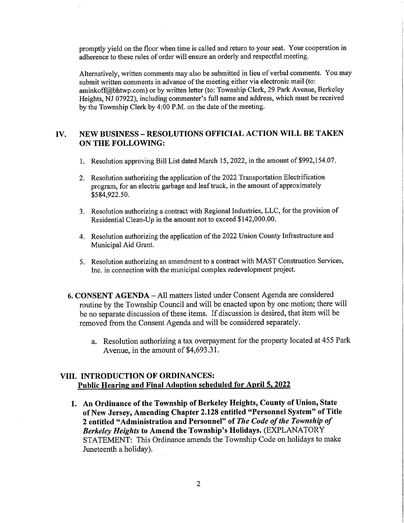promptly yield on the floor when time is called and return to your seat. Your cooperation in adherence to these rules of order will ensure an orderly and respectful meeting.

Alternatively, written comments may also be submitted in lieu of verbal comments. You may submit written comments in advance of the meeting either via electronic mail (to: aminkoff@bhtwp.com) or by written letter (to: Township Clerk, 29 Park Avenue, Berkeley Heights, NJ 07922), including commenter's full name and address, which must be received by the Township Clerk by 4:00 P.M. on the date of the meeting.

### IV. NEW BUSINESS - RESOLUTIONS OFFICIAL ACTION WILL BE TAKEN ON THE FOLLOWING:

- 1. Resolution approving Bill List dated March 15,2022, in the amount of \$992,154.07.
- 2. Resolution authorizing the application of the 2022 Transportation Electrification program, for an electric garbage and leaf truck, in the amount of approximately \$584,922.50.
- 3. Resolution authorizing a contract with Regional Industries, LLC, for the provision of Residential Clean-Up in the amount not to exceed \$142,000.00.
- 4. Resolution authorizing the application of the 2022 Union County Infrastructure and Municipal Aid Grant.
- 5. Resolution authorizing an amendment to a contract with MAST Construction Services, Inc. in connection with the municipal complex redevelopment project.
- 6. CONSENT AGENDA All matters listed under Consent Agenda are considered routine by the Township Council and will be enacted upon by one motion; there will be no separate discussion of these items. If discussion is desired, that item will be removed from the Consent Agenda and will be considered separately.
	- a. Resolution authorizing a tax overpayment for the property located at 455 Park Avenue, in the amount of \$4,693.31.

### VIII. INTRODUCTION OF ORDINANCES: Public Hearing and Final Adoption scheduled for April 5, 2022

1. An Ordinance of the Township of Berkeley Heights, County of Union, State of New Jersey, Amending Chapter 2.128 entitled "Personnel System" of Title 2 entitled "Administration and Personnel" of The Code of the Township of Berkeley Heights to Amend the Township's Holidays. (EXPLANATORY STATEMENT: This Ordinance amends the Township Code on holidays to make Juneteenth a holiday).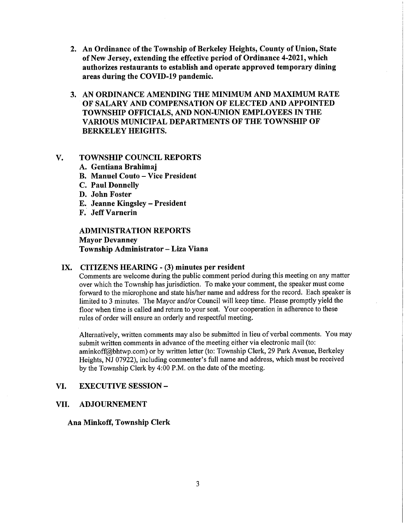- 2. An Ordinance of the Township of Berkeley Heights, County of Union, State of New Jersey, extending the effective period of Ordinance 4-2021, which authorizes restaurants to establish and operate approved temporary dining areas during the COVID-19 pandemic.
- 3. AN ORDINANCE AMENDING THE MINIMUM AND MAXIMUM RATE OF SALARY AND COMPENSATION OF ELECTED AND APPOINTED TOWNSHIP OFFICIALS, AND NON-UNION EMPLOYEES IN THE VAMOUS MUNICIPAL DEPARTMENTS OF THE TOWNSHIP OF BERKELEY HEIGHTS.

### V. TOWNSHIP COUNCIL REPORTS

- A. Gentiana Brahimaj
- B. Manuel Couto Vice President
- C. Paul Donnelly
- D. John Foster
- E. Jeanne Kingsley President
- F. JeffVarnerin

ADMINISTRATION REPORTS Mayor Devanney Township Administrator - Liza Viana

#### IX. CITIZENS HEARING - (3) minutes per resident

Comments are welcome during the public comment period during this meeting on any matter over which the Township has jurisdiction. To make your comment, the speaker must come forward to the microphone and state his/her name and address for the record. Each speaker is limited to 3 minutes. The Mayor and/or Council will keep time. Please promptly yield the floor when time is called and return to your seat. Your cooperation in adherence to these rules of order will ensure an orderly and respectful meeting.

Alternatively, written comments may also be submitted in lieu of verbal comments. You may submit written comments in advance of the meeting either via electronic mail (to: aminkoff@bhtwp.com) or by written letter (to: Township Clerk, 29 Park Avenue, Berkeley Heights, NJ 07922), including commenter's full name and address, which must be received by the Township Clerk by 4:00 P.M. on the date of the meeting.

#### VI. EXECUTIVE SESSION -

#### VII. ADJOURNEMENT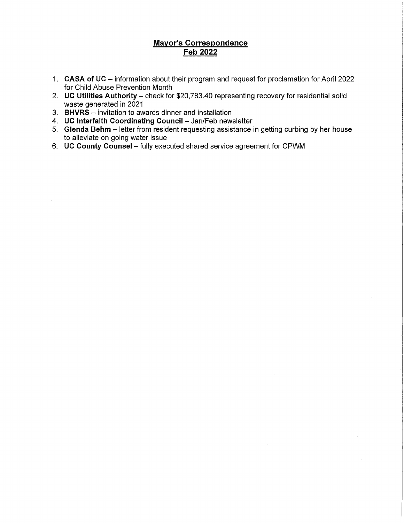# Mayor's Correspondence Feb 2022

- 1. CASA of UC information about their program and request for proclamation for April 2022 for Child Abuse Prevention Month
- 2. UC Utilities Authority check for \$20,783.40 representing recovery for residential solid waste generated in 2021
- 3. BHVRS invitation to awards dinner and installation
- 4. UC Interfaith Coordinating Council Jan/Feb newsletter
- 5. Glenda Behm letter from resident requesting assistance in getting curbing by her house to alleviate on going water issue
- 6. UC County Counsel fully executed shared service agreement for CPWM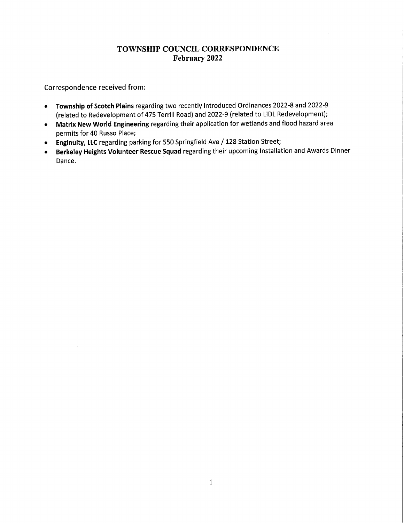# TOWNSHIP COUNCIL CORRESPONDENCE February 2022

Correspondence received from:

- Township of Scotch Plains regarding two recently introduced Ordinances 2022-8 and 2022-9 (related to Redevelopment of 475 Terrilt Road) and 2022-9 (related to LIDL Redevelopment);
- Matrix New World Engineering regarding their application for wetlands and flood hazard area permits for 40 Russo Place;
- Enginuity, LLC regarding parking for 550 Springfield Ave / 128 Station Street;
- Berkeley Heights Volunteer Rescue Squad regarding their upcoming Installation and Awards Dinner Dance.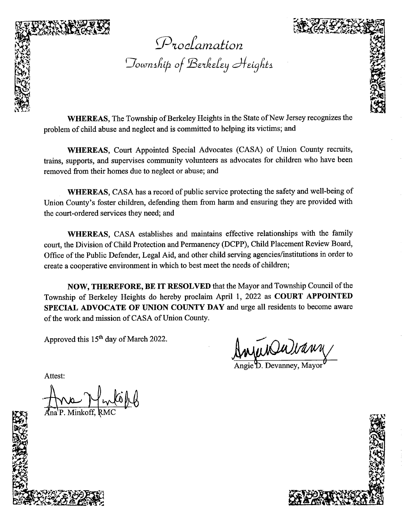

Proclamation ownshiþ of 'Derkeley Heights y H<mark>ei</mark>g

WHEREAS, The Township of Berkeley Heights in the State of New Jersey recognizes the problem of child abuse and neglect and is committed to helping its victims; and

WHEREAS, Court Appointed Special Advocates (CASA) of Union County recruits, trains, supports, and supervises community volunteers as advocates for children who have been removed from their homes due to neglect or abuse; and

WHEREAS, CASA has a record of public service protecting the safety and well-being of Union County's foster children, defending them from harm and ensuring they are provided with the court-ordered services they need; and

WHEREAS, CASA establishes and maintains effective relationships with the family court, the Division of Child Protection and Permanency (DCPP), Child Placement Review Board, Office of the Public Defender, Legal Aid, and other child serving agencies/institutions in order to create a cooperative environment in which to best meet the needs of children;

NOW, THEREFORE, BE IT RESOLVED that the Mayor and Township Council of the Township of Berkeley Heights do hereby proclaim April 1, 2022 as COURT APPOINTED SPECIAL ADVOCATE OF UNION COUNTY DAY and urge all residents to become aware of the work and mission of CASA of Union County.

Approved this 15<sup>th</sup> day of March 2022.

Angie D. Devanney, Mayor



 $\mathbb{Z}^n$  is a string of  $\mathbb{Z}^n$  in  $\mathbb{Z}^n$  ,  $\mathbb{Z}^n$  ,  $\mathbb{Z}^n$  ,  $\mathbb{Z}^n$  ,  $\mathbb{Z}^n$  ,  $\mathbb{Z}^n$  ,  $\mathbb{Z}^n$  ,  $\mathbb{Z}^n$  ,  $\mathbb{Z}^n$  ,  $\mathbb{Z}^n$  ,  $\mathbb{Z}^n$  ,  $\mathbb{Z}^n$  ,  $\mathbb{Z}^n$  ,  $\mathbb{Z}^n$  ,

en<br>Pri ing and the

Minkoff.

Attest: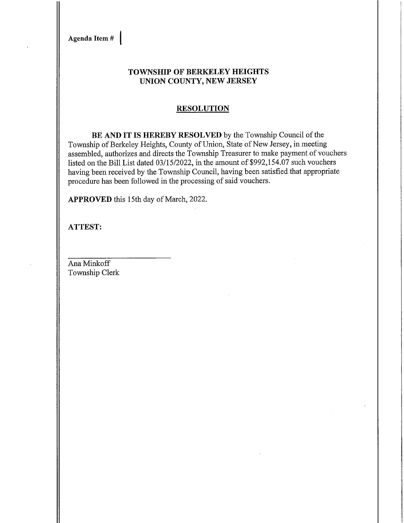Agenda Item #

### TOWNSHIP OF BERKELEY HEIGHTS UNION COUNTY, NEW JERSEY

#### **RESOLUTION**

BE AND IT IS HEREBY RESOLVED by the Township Council of the Township of Berkeley Heights, County of Union, State of New Jersey, in meeting assembled, authorizes and directs the Township Treasurer to make payment of vouchers listed on the Bill List dated 03/15/2022, in the amount of \$992,154.07 such vouchers having been received by the Township Council, having been satisfied that appropriate procedure has been followed in the processing of said vouchers.

APPROVED this 15th day of March, 2022.

ATTEST: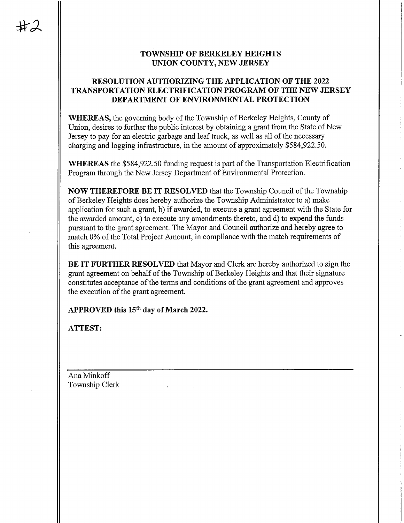### TOWNSHIP OF BERKELEY HEIGHTS UNION COUNTY, NEW JERSEY

### RESOLUTION AUTHORIZING THE APPLICATION OF THE 2022 TRANSPORTATION ELECTMFICATION PROGRAM OF THE NEW JERSEY DEPARTMENT OF ENVIRONMENTAL PROTECTION

WHEREAS, the governing body of the Township of Berkeley Heights, County of Union, desires to further the public interest by obtaining a grant from the State of New Jersey to pay for an electric garbage and leaf truck, as well as all of the necessary charging and logging infrastructure, in the amount of approximately \$584,922.50.

WHEREAS the \$584,922.50 funding request is part of the Transportation Electrification Program through the New Jersey Department of Environmental Protection.

NOW THEREFORE BE IT RESOLVED that the Township Council of the Township of Berkeley Heights does hereby authorize the Township Administrator to a) make application for such a grant, b) if awarded, to execute a grant agreement with the State for the awarded amount, c) to execute any amendments thereto, and d) to expend the funds pursuant to the grant agreement. The Mayor and Council authorize and hereby agree to match 0% of the Total Project Amount, in compliance with the match requirements of this agreement.

BE IT FURTHER RESOLVED that Mayor and Clerk are hereby authorized to sign the grant agreement on behalf of the Township of Berkeley Heights and that their signature constitutes acceptance of the terms and conditions of the grant agreement and approves the execution of the grant agreement.

APPROVED this 15<sup>th</sup> day of March 2022.

ATTEST: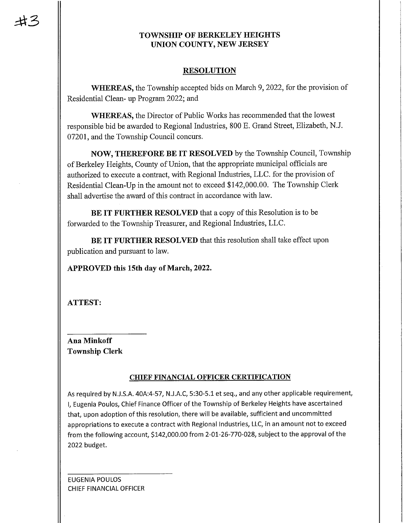# TOWNSHIP OF BERKELEY HEIGHTS UNION COUNTY, NEW JERSEY

### RESOLUTION

WHEREAS, the Township accepted bids on March 9, 2022, for the provision of Residential Clean- up Program 2022; and

WHEREAS, the Director of Public Works has recommended that the lowest responsible bid be awarded to Regional Industries, 800 E. Grand Street, Elizabeth, N.J. 07201, and the Township Council concurs.

NOW, THEREFORE BE IT RESOLVED by the Township Council, Township of Berkeley Heights, County of Union, that the appropriate municipal officials are authorized to execute a contract, with Regional Industries, LLC. for the provision of Residential Clean-Up in the amount not to exceed \$142,000.00. The Township Clerk shall advertise the award of this contract in accordance with law.

BE IT FURTHER RESOLVED that a copy of this Resolution is to be forwarded to the Township Treasurer, arid Regional Industries, LLC.

BE IT FURTHER RESOLVED that this resolution shall take effect upon publication and pursuant to law.

APPROVED this 15th day of March, 2022.

ATTEST:

Ana Minkoff Township Clerk

### CHIEF FINANCIAL OFFICER CERTIFICATION

As required by N.J.S.A. 40A:4-57, N.J.A.C, 5:30-5.1 et seq., and any other applicable requirement, I, Eugenia Poulos, Chief Finance Officer of the Township of Berkeley Heights have ascertained that, upon adoption of this resolution, there will be available, sufficient and uncommitted appropriations to execute a contract with Regional Industries, LLC, in an amount not to exceed from the following account, \$142,000.00 from 2-01-26-770-028, subject to the approval of the 2022 budget.

**EUGENIA POULOS** CHIEF FINANCIAL OFFICER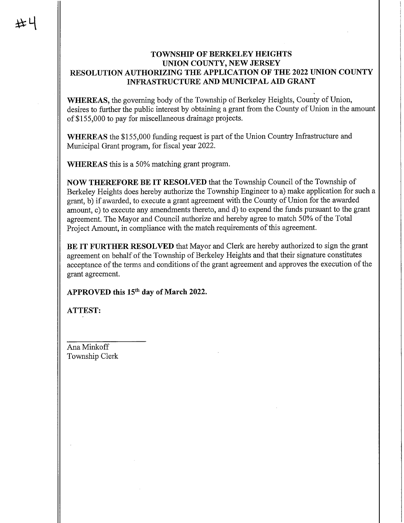### TOWNSHIP OF BERKELEY HEIGHTS UNION COUNTY, NEW JERSEY RESOLUTION AUTHORIZING THE APPLICATION OF THE 2022 UNION COUNTY INFRASTRUCTURE AND MUNICIPAL AID GRANT

WHEREAS, the governing body of the Township of Berkeley Heights, County of Union, desires to further the public interest by obtaining a grant from the County of Union in the amount of \$155,000 to pay for miscellaneous drainage projects.

WHEREAS the \$155,000 funding request is part of the Union Country Infrastructure and Municipal Grant program, for fiscal year 2022.

WHEREAS this is a 50% matching grant program.

NOW THEREFORE BE IT RESOLVED that the Township Council of the Township of Berkeley Heights does hereby authorize the Township Engineer to a) make application for such a grant, b) if awarded, to execute a grant agreement with the County of Union for the awarded amount, c) to execute any amendments thereto, and d) to expend the funds pursuant to the grant agreement. The Mayor and Council authorize and hereby agree to match 50% of the Total Project Amount, in compliance with the match requirements of this agreement.

BE IT FURTHER RESOLVED that Mayor and Clerk are hereby authorized to sign the grant agreement on behalf of the Township of Berkeley Heights and that their signature constitutes acceptance of the terms and conditions of the grant agreement and approves the execution of the grant agreement.

APPROVED this 15<sup>th</sup> day of March 2022.

ATTEST: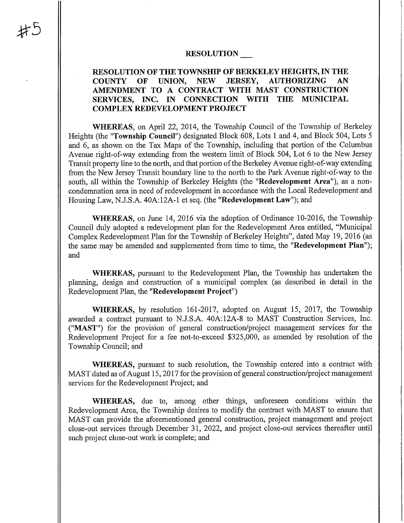#### RESOLUTION

### RESOLUTION OF THE TOWNSHIP OF BERKELEY HEIGHTS, IN THE COUNTY OF UNION, NEW JERSEY, AUTHOMZING AN AMENDMENT TO A CONTRACT WITH MAST CONSTRUCTION SERVICES, INC. IN CONNECTION WITH THE MUNICIPAL COMPLEX REDEVELOPMENT PROJECT

WHEREAS, on April 22, 2014, the Township Council of the Township of Berkeley Heights (the "Township Council") designated Block 608, Lots 1 and 4, and Block 504, Lots 5 and 6, as shown on the Tax Maps of the Township, including that portion of the Columbus Avenue right-of-way extending from the western limit of Block 504, Lot 6 to the New Jersey Transit property line to the north, and that portion of the Berkeley Avenue right-of-way extending from the New Jersey Transit boundary line to the north to the Park Avenue right-of-way to the south, all within the Township of Berkeley Heights (the "Redevelopment Area"), as a noncondemnation area in need of redevelopment in accordance with the Local Redevelopment and Housing Law, N.J.S.A. 40A:12A-1 et seq. (the "Redevelopment Law"); and

WHEREAS, on June 14, 2016 via the adoption of Ordinance 10-2016, the Township Council duly adopted a redevelopment plan for the Redevelopment Area entitled, "Municipal Complex Redevelopment Plan for the Township of Berkeley Heights", dated May 19, 2016 (as the same may be amended and supplemented from time to time, the "Redevelopment Plan"); and

WHEREAS, pursuant to the Redevelopment Plan, the Township has undertaken the planning, design and constmction of a municipal complex (as described in detail in the Redevelopment Plan, the "Redevelopment Project")

WHEREAS, by resolution 161-2017, adopted on August 15, 2017, the Township awarded a contract pursuant to N.J.S.A. 40A:12A-8 to MAST Construction Services, Inc. ("MAST") for the provision of general constmction/project management services for the Redevelopment Project for a fee not-to-exceed \$325,000, as amended by resolution of the Township Council; and

WHEREAS, pursuant to such resolution, the Township entered into a contract with MAST dated as of August 15, 2017 for the provision of general construction/project management services for the Redevelopment Project; and

WHEREAS, due to, among other things, unforeseen conditions within the Redevelopment Area, the Township desires to modify the contract with MAST to ensure that MAST can provide the aforementioned general construction, project management and project close-out services through December 31, 2022, and project close-out services thereafter until such project close-out work is complete; and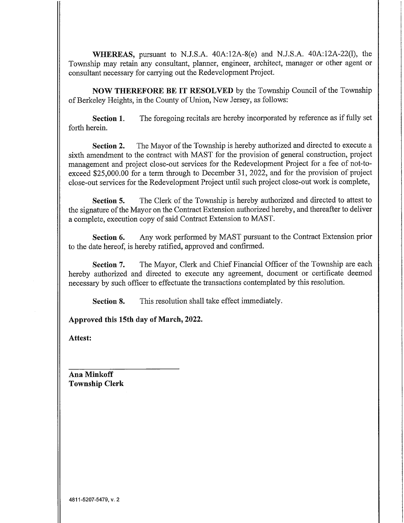WHEREAS, pursuant to N.J.S.A. 40A:12A-8(e) and N.J.S.A. 40A:12A-22(1), the Township may retain any consultant, planner, engineer, architect, manager or other agent or consultant necessary for carrying out the Redevelopment Project.

NOW THEREFORE BE IT RESOLVED by the Township Council of the Township of Berkeley Heights, in the County of Union, New Jersey, as follows:

Section 1. The foregoing recitals are hereby incorporated by reference as if fully set forth herein.

Section 2. The Mayor of the Township is hereby authorized and directed to execute a sixth amendment to the contract with MAST for the provision of general construction, project management and project close-out services for the Redevelopment Project for a fee of not-toexceed \$25,000.00 for a term through to December 31, 2022, and for the provision of project close-out services for the Redevelopment Project until such project close-out work is complete,

Section 5. The Clerk of the Township is hereby authorized and directed to attest to the signature of the Mayor on the Contract Extension authorized hereby, and thereafter to deliver a complete, execution copy of said Contract Extension to MAST.

Section 6. Any work performed by MAST pursuant to the Contract Extension prior to the date hereof, is hereby ratified, approved and confirmed.

Section 7. The Mayor, Clerk and Chief Financial Officer of the Township are each hereby authorized and directed to execute any agreement, document or certificate deemed necessary by such officer to effectuate the transactions contemplated by this resolution.

Section 8. This resolution shall take effect immediately.

Approved this 15th day of March, 2022.

Attest: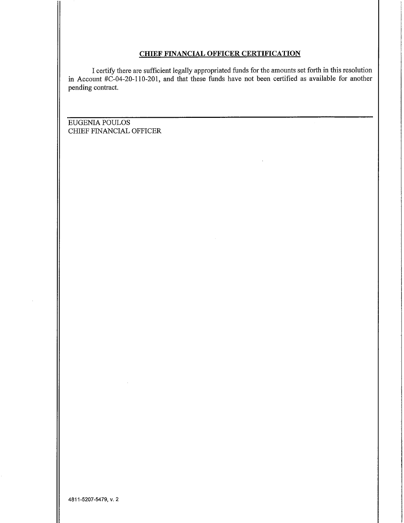#### CHIEF FINANCIAL OFFICER CERTIFICATION

I certify there are sufficient legally appropriated funds for the amounts set forth in this resolution in Account #C-04-20-110-201, and that these funds have not been certified as available for another pending contract.

 $\mathcal{L}$ 

EUGENIA POULOS CHIEF FINANCIAL OFFICER

 $\sim$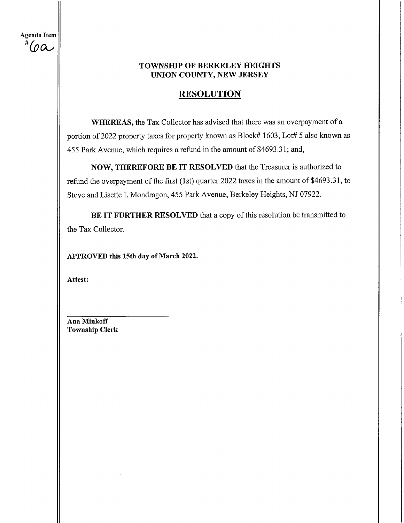Agenda Item # (o $\alpha$ 

# TOWNSHIP OF BERKELEY HEIGHTS UNION COUNTY, NEW JERSEY

# **RESOLUTION**

WHEREAS, the Tax Collector has advised that there was an overpayment of a portion of 2022 property taxes for property known as Block# 1603, Lot# 5 also known as 455 Park Avenue, which requires a refund in the amount of \$4693.31; and,

NOW, THEREFORE BE IT RESOLVED that the Treasurer is authorized to refund the overpayment of the first (1st) quarter 2022 taxes in the amount of \$4693.31, to Steve and Lisette I. Mondragon, 455 Park Avenue, Berkeley Heights, NJ 07922.

BE IT FURTHER RESOLVED that a copy of this resolution be transmitted to the Tax Collector.

APPROVED this 15th day of March 2022.

Attest: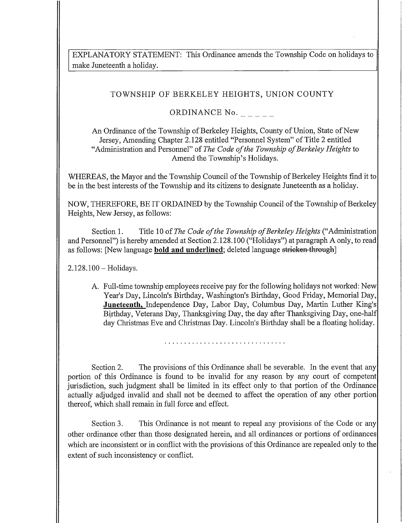EXPLANATORY STATEMENT: This Ordinance amends the Township Code on holidays to make Juneteenth a holiday.

# TOWNSHIP OF BERKELEY HEIGHTS, UNION COUNTY

# ORDINANCE No.  $\angle$   $\angle$   $\angle$   $\angle$   $\angle$

An Ordinance of the Township of Berkeley Heights, County of Union, State of New Jersey, Amending Chapter 2.128 entitled "Personnel System" of Title 2 entitled "Administration and Personnel" of The Code of the Township of Berkeley Heights to Amend the Township's Holidays.

WHEREAS, the Mayor and the Township Council of the Township of Berkeley Heights find it to be in the best interests of the Township and its citizens to designate Juneteenth as a holiday.

NOW, THEREFORE, BE IT ORDAINED by the Township Council of the Township of Berkeley Heights, New Jersey, as follows:

Section 1. Title 10 of The Code of the Township of Berkeley Heights ("Administration and Personnel") is hereby amended at Section 2.128.100 ("Holidays") at paragraph A only, to read] as follows: [New language **bold and underlined**; deleted language stricken through]

2.128.100-Holidays.

A. Full-time township employees receive pay for the following holidays not worked: New| Year's Day, Lincoln's Birthday, Washington's Birthday, Good Friday, Memorial Day, | Juneteenth, Independence Day, Labor Day, Columbus Day, Martin Luther King's Birthday, Veterans Day, Thanksgiving Day, the day after Thanksgiving Day, one-half| day Christmas Eve and Christmas Day. Lincoln's Birthday shall be a floating holiday.

Section 2. The provisions of this Ordinance shall be severable. In the event that any portion of this Ordinance is found to be invalid for any reason by any court of competent jurisdiction, such judgment shall be limited in its effect only to that portion of the Ordinance actually adjudged invalid and shall not be deemed to affect the operation of any other portion thereof, which shall remain in full force and effect.

Section 3. This Ordinance is not meant to repeal any provisions of the Code or any other ordinance other than those designated herein, and all ordinances or portions of ordinances which are inconsistent or in conflict with the provisions of this Ordinance are repealed only to the extent of such inconsistency or conflict.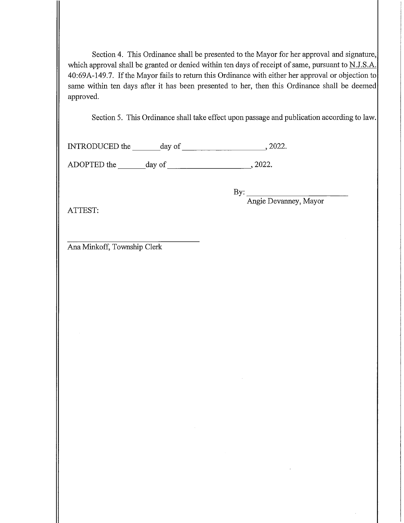Section 4. This Ordinance shall be presented to the Mayor for her approval and signature, which approval shall be granted or denied within ten days of receipt of same, pursuant to N.J.S.A. 40:69A-149.7. If the Mayor fails to return this Ordinance with either her approval or objection to same within ten days after it has been presented to her, then this Ordinance shall be deemed approved.

Section 5. This Ordinance shall take effect upon passage and publication according to law.

mTRODUCED the \_day of\_,2022.

ADOPTED the day of , 2022.

 $By:$ 

Angie Devanney, Mayor

ATTEST: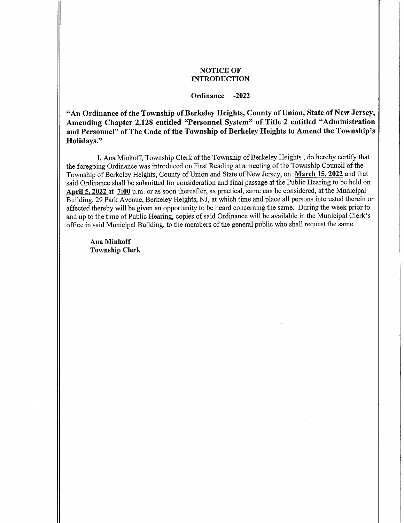#### NOTICE OF INTRODUCTION

#### Ordinance -2022

"An Ordinance of the Township of Berkeley Heights, County of Union, State of New Jersey, Amending Chapter 2.128 entitled "Personnel System" of Title 2 entitled "Administration and Personnel" of The Code of the Township of Berkeley Heights to Amend the Township's Holidays."

I, Ana Minkoff, Township Clerk of the Township of Berkeley Heights , do hereby certify that the foregoing Ordinance was introduced on First Reading at a meeting of the Township Council of the Township of Berkeley Heights, County of Union and State of New Jersey, on March 15, 2022 and that said Ordinance shall be submitted for consideration and final passage at the Public Hearing to be held on April 5,2022 at 7:00 p.m. or as soon thereafter, as practical, same can be considered, at the Municipal Building, 29 Park Avenue, Berkeley Heights, NJ, at which time and place all persons interested therein or affected thereby will be given an opportunity to be heard concerning the same. During the week prior to and up to the time of Public Hearing, copies of said Ordinance will be available in the Municipal Clerk's office in said Municipal Building, to the members of the general public who shall request the same.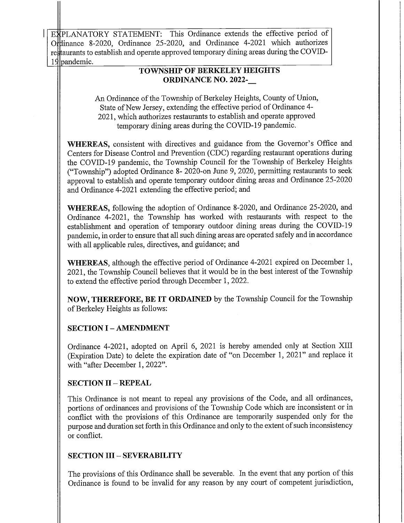re taurants to establish and operate approved temporary dining areas during the COVID-EXPLANATORY STATEMENT: This Ordinance extends the effective period of Ordinance 8-2020, Ordinance 25-2020, and Ordinance 4-2021 which authorizes 19 mandemic.

# TOWNSHIP OF BERKELEY HEIGHTS ORDINANCE NO. 2022-

An Ordinance of the Township of Berkeley Heights, County of Union, State of New Jersey, extending the effective period of Ordinance 4- 2021, which authorizes restaurants to establish and operate approved temporary dining areas during the COVID-19 pandemic.

WHEREAS, consistent with directives and guidance from the Governor's Office and Centers for Disease Control and Prevention (CDC) regarding restaurant operations during the COVID-19 pandemic, the Township Council for the Township of Berkeley Heights ("Township") adopted Ordinance 8- 2020-on June 9, 2020, permitting restaurants to seek approval to establish and operate temporary outdoor dining areas and Ordinance 25-2020 and Ordinance 4-2021 extending the effective period; and

WHEREAS, following the adoption of Ordinance 8-2020, and Ordinance 25-2020, and Ordinance 4-2021, the Township has worked with restaurants with respect to the establishment and operation of temporary outdoor dining areas during the COVID-19 pandemic, in order to ensure that all such dining areas are operated safely and in accordance with all applicable rules, directives, and guidance; and

WHEREAS, although the effective period of Ordinance 4-2021 expired on December 1, 2021, the Township Council believes that it would be in the best interest of the Township to extend the effective period through December 1, 2022.

NOW, THEREFORE, BE IT ORDAINED by the Township Council for the Township of Berkeley Heights as follows:

# **SECTION I - AMENDMENT**

Ordinance 4-2021, adopted on April 6, 2021 is hereby amended only at Section XIII (Expiration Date) to delete the expiration date of "on December 1, 2021" and replace it with "after December 1, 2022"

# SECTION II - REPEAL

This Ordinance is not meant to repeal any provisions of the Code, and all ordinances, portions of ordinances and provisions of the Township Code which are inconsistent or in conflict with the provisions of this Ordinance are temporarily suspended only for the purpose and duration set forth in this Ordinance and only to the extent of such inconsistency or conflict.

# SECTION III - SEVERABILITY

The provisions of this Ordinance shall be severable. In the event that any portion of this Ordinance is found to be invalid for any reason by any court of competent jurisdiction,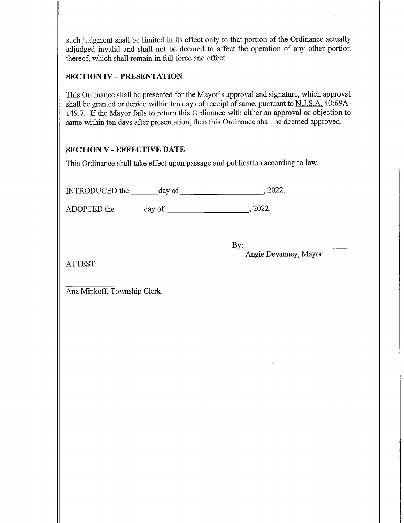such judgment shall be limited in its effect only to that portion of the Ordinance actually adjudged invalid and shall not be deemed to affect the operation of any other portion thereof, which shall remain in full force and effect.

# SECTION IV - PRESENTATION

This Ordinance shall be presented for the Mayor's approval and signature, which approval shall be granted or denied within ten days of receipt of same, pursuant to N.J.S.A. 40:69A-149.7. If the Mayor fails to return this Ordinance with either an approval or objection to same within ten days after presentation, then this Ordinance shall be deemed approved.

# SECTION V - EFFECTIVE DATE

This Ordinance shall take effect upon passage and publication according to law.

INTRODUCED the \_day of\_,2022.

ADOPTED the \_day of\_,2022.

By:.

Angle Devanney, Mayor

ATTEST: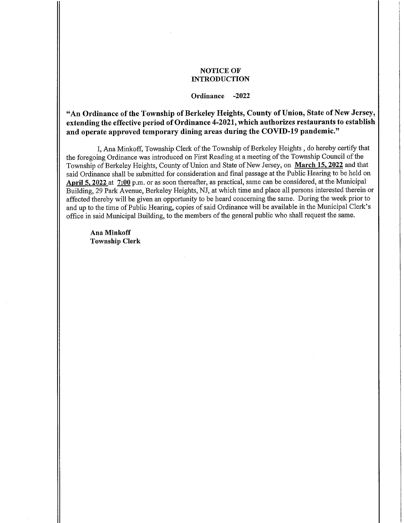#### NOTICE OF INTRODUCTION

#### Ordinance -2022

"An Ordinance of the Township of Berkeley Heights, County of Union, State of New Jersey, extending the effective period of Ordinance 4-2021, which authorizes restaurants to establish and operate approved temporary dining areas during the COVID-19 pandemic."

I, Ana Minkoff, Township Clerk of the Township of Berkeley Heights , do hereby certify that the foregoing Ordinance was introduced on First Reading at a meeting of the Township Council of the Township of Berkeley Heights, County of Union and State of New Jersey, on March 15,2022 and that said Ordinance shall be submitted for consideration and final passage at the Public Hearing to be held on April 5, 2022 at 7:00 p.m. or as soon thereafter, as practical, same can be considered, at the Municipal Building, 29 Park Avenue, Berkeley Heights, NJ, at which time and place all persons interested therein or affected thereby will be given an opportunity to be heard concerning the same. During the week prior to and up to the time of Public Hearing, copies of said Ordinance will be available in the Municipal Clerk's office in said Municipal Building, to the members of the general public who shall request the same.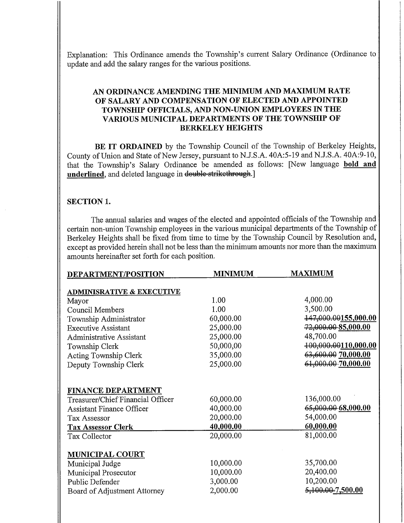Explanation: This Ordinance amends the Township's current Salary Ordinance (Ordinance to update and add the salary ranges for the various positions.

### AN ORDINANCE AMENDING THE MINIMUM AND MAXIMUM RATE OF SALARY AND COMPENSATION OF ELECTED AND APPOINTED TOWNSHIP OFFICIALS, AND NON-UNION EMPLOYEES IN THE VARIOUS MUNICIPAL DEPARTMENTS OF THE TOWNSHIP OF BERKELEY HEIGHTS

BE IT ORDAINED by the Township Council of the Township of Berkeley Heights, County of Union and State of New Jersey, pursuant to N.J.S.A. 40A:5-19 and N.J.S.A. 40A:9-10, that the Township's Salary Ordinance be amended as follows: [New language bold and underlined, and deleted language in double strikethrough.]

### SECTION 1.

The annual salaries and wages of the elected and appointed officials of the Township and certain non-union Township employees in the various municipal departments of the Township of Berkeley Heights shall be fixed from time to time by the Township Council by Resolution and, except as provided herein shall not be less than the minimum amounts nor more than the maximum amounts hereinafter set forth for each position.

| DEPARTMENT/POSITION                  | <b>MINIMUM</b> | <b>MAXIMUM</b>                |
|--------------------------------------|----------------|-------------------------------|
| <b>ADMINISRATIVE &amp; EXECUTIVE</b> |                |                               |
| Mayor                                | 1.00           | 4,000.00                      |
| <b>Council Members</b>               | 1.00           | 3,500.00                      |
| Township Administrator               | 60,000.00      | 447,000.00155,000.00          |
| <b>Executive Assistant</b>           | 25,000.00      | $72,000.00-85,000.00$         |
| <b>Administrative Assistant</b>      | 25,000.00      | 48,700.00                     |
| Township Clerk                       | 50,000,00      | 400,000.00110,000.00          |
| Acting Township Clerk                | 35,000.00      | 63,600.00 70,000.00           |
| Deputy Township Clerk                | 25,000.00      | 61,000.00-70,000.00           |
|                                      |                |                               |
| <b>FINANCE DEPARTMENT</b>            |                |                               |
| Treasurer/Chief Financial Officer    | 60,000.00      | 136,000.00                    |
| <b>Assistant Finance Officer</b>     | 40,000.00      | 65,000.00 68,000.00           |
| <b>Tax Assessor</b>                  | 20,000.00      | 54,000.00                     |
| <b>Tax Assessor Clerk</b>            | 40,000.00      | 60,000.00                     |
| Tax Collector                        | 20,000.00      | 81,000.00                     |
|                                      |                |                               |
| <b>MUNICIPAL COURT</b>               |                |                               |
| Municipal Judge                      | 10,000.00      | 35,700.00                     |
| Municipal Prosecutor                 | 10,000.00      | 20,400.00                     |
| Public Defender                      | 3,000.00       | 10,200.00                     |
| Board of Adjustment Attorney         | 2,000.00       | <del>5,100.00</del> -7,500.00 |
|                                      |                |                               |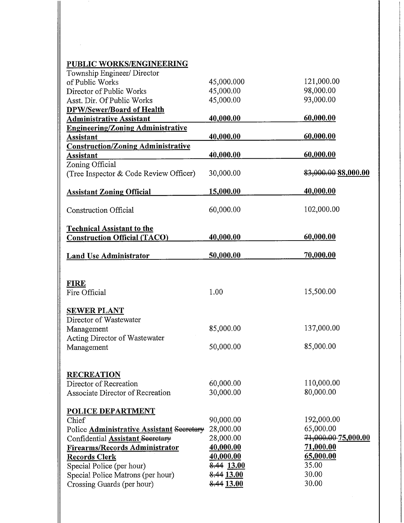# PUBLIC WORKS/ENGINEERING

 $\hat{L}$ 

| Township Engineer/ Director               |            |                     |
|-------------------------------------------|------------|---------------------|
| of Public Works                           | 45,000.000 | 121,000.00          |
| Director of Public Works                  | 45,000.00  | 98,000.00           |
| Asst. Dir. Of Public Works                | 45,000.00  | 93,000.00           |
| <b>DPW/Sewer/Board of Health</b>          |            |                     |
| <b>Administrative Assistant</b>           | 40,000.00  | 60,000.00           |
| <b>Engineering/Zoning Administrative</b>  |            |                     |
| <b>Assistant</b>                          | 40,000.00  | 60,000.00           |
| <b>Construction/Zoning Administrative</b> |            |                     |
| Assistant                                 | 40,000.00  | 60,000.00           |
| Zoning Official                           |            |                     |
| (Tree Inspector & Code Review Officer)    | 30,000.00  | 83,000.00 88,000.00 |
| <b>Assistant Zoning Official</b>          | 15,000.00  | 40,000.00           |
| <b>Construction Official</b>              | 60,000.00  | 102,000.00          |
| <b>Technical Assistant to the</b>         | 40,000.00  | 60,000.00           |
| <b>Construction Official (TACO)</b>       |            |                     |
| <b>Land Use Administrator</b>             | 50,000.00  | 70,000.00           |
| <b>FIRE</b>                               |            |                     |
| Fire Official                             | 1.00       | 15,500.00           |
| <b>SEWER PLANT</b>                        |            |                     |
| Director of Wastewater                    |            |                     |
| Management                                | 85,000.00  | 137,000.00          |
| Acting Director of Wastewater             |            |                     |
| Management                                | 50,000.00  | 85,000.00           |
|                                           |            |                     |
| <b>RECREATION</b>                         |            |                     |
| Director of Recreation                    | 60,000.00  | 110,000.00          |
| Associate Director of Recreation          | 30,000.00  | 80,000.00           |
| <b>POLICE DEPARTMENT</b>                  |            |                     |
| Chief                                     | 90,000.00  | 192,000.00          |
| Police Administrative Assistant Secretary | 28,000.00  | 65,000.00           |
| Confidential <b>Assistant</b> Secretary   | 28,000.00  | 71,000.00-75,000.00 |
| Firearms/Records Administrator            | 40,000.00  | 71,000.00           |
| <b>Records Clerk</b>                      | 40,000.00  | 65,000.00           |
| Special Police (per hour)                 | 8.44 13.00 | 35.00               |
| Special Police Matrons (per hour)         | 8.44 13.00 | 30.00               |
| Crossing Guards (per hour)                | 8.44 13.00 | 30.00               |
|                                           |            |                     |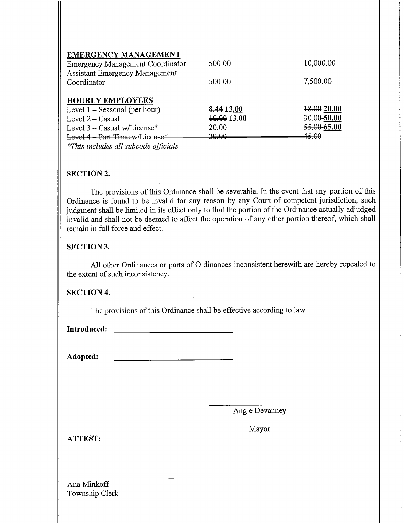| <b>EMERGENCY MANAGEMENT</b><br><b>Emergency Management Coordinator</b><br><b>Assistant Emergency Management</b><br>Coordinator                       | 500.00<br>500.00                                    | 10,000.00<br>7,500.00                                     |
|------------------------------------------------------------------------------------------------------------------------------------------------------|-----------------------------------------------------|-----------------------------------------------------------|
| <b>HOURLY EMPLOYEES</b><br>Level $1 -$ Seasonal (per hour)<br>Level $2 -$ Casual<br>Level $3$ – Casual w/License*<br>Lovel 4 - Part Time w/License * | <del>8.44</del> 13.00<br>40.00 13.00<br>20.00<br>ഛഛ | <del>18.00</del> -20.00<br>$30.00 - 50.00$<br>55,00 65.00 |

\*This includes all subcode officials

# SECTION 2.

The provisions of this Ordinance shall be severable. In the event that any portion of this Ordinance is found to be invalid for any reason by any Court of competent jurisdiction, such judgment shall be limited in its effect only to that the portion of the Ordinance actually adjudged invalid and shall not be deemed to affect the operation of any other portion thereof, which shall remain in full force and effect.

# SECTION 3.

All other Ordinances or parts of Ordinances inconsistent herewith are hereby repealed to the extent of such inconsistency.

# SECTION 4.

The provisions of this Ordinance shall be effective according to law.

Introduced:

Adopted:

Angie Devanney

ATTEST:

Mayor